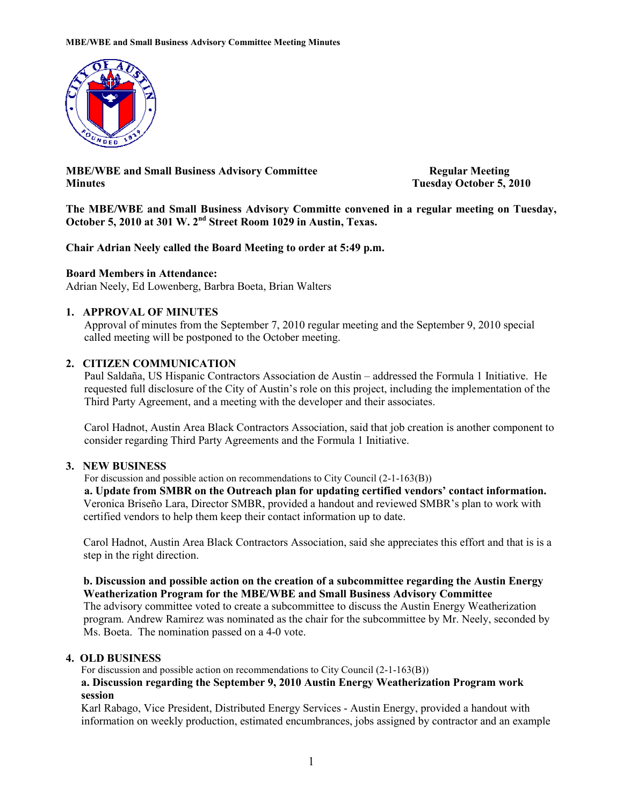

MBE/WBE and Small Business Advisory Committee Regular Meeting Minutes Tuesday October 5, 2010

The MBE/WBE and Small Business Advisory Committe convened in a regular meeting on Tuesday, October 5, 2010 at 301 W. 2<sup>nd</sup> Street Room 1029 in Austin, Texas.

### Chair Adrian Neely called the Board Meeting to order at 5:49 p.m.

### Board Members in Attendance:

Adrian Neely, Ed Lowenberg, Barbra Boeta, Brian Walters

### 1. APPROVAL OF MINUTES

Approval of minutes from the September 7, 2010 regular meeting and the September 9, 2010 special called meeting will be postponed to the October meeting.

### 2. CITIZEN COMMUNICATION

 Paul Saldaña, US Hispanic Contractors Association de Austin – addressed the Formula 1 Initiative. He requested full disclosure of the City of Austin's role on this project, including the implementation of the Third Party Agreement, and a meeting with the developer and their associates.

 Carol Hadnot, Austin Area Black Contractors Association, said that job creation is another component to consider regarding Third Party Agreements and the Formula 1 Initiative.

#### 3. NEW BUSINESS

For discussion and possible action on recommendations to City Council (2-1-163(B))

a. Update from SMBR on the Outreach plan for updating certified vendors' contact information. Veronica Briseño Lara, Director SMBR, provided a handout and reviewed SMBR's plan to work with certified vendors to help them keep their contact information up to date.

Carol Hadnot, Austin Area Black Contractors Association, said she appreciates this effort and that is is a step in the right direction.

### b. Discussion and possible action on the creation of a subcommittee regarding the Austin Energy Weatherization Program for the MBE/WBE and Small Business Advisory Committee

The advisory committee voted to create a subcommittee to discuss the Austin Energy Weatherization program. Andrew Ramirez was nominated as the chair for the subcommittee by Mr. Neely, seconded by Ms. Boeta. The nomination passed on a 4-0 vote.

### 4. OLD BUSINESS

For discussion and possible action on recommendations to City Council (2-1-163(B))

## a. Discussion regarding the September 9, 2010 Austin Energy Weatherization Program work session

Karl Rabago, Vice President, Distributed Energy Services - Austin Energy, provided a handout with information on weekly production, estimated encumbrances, jobs assigned by contractor and an example